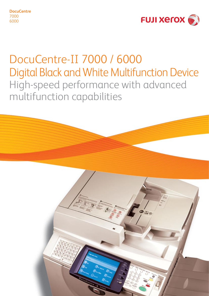**DocuCentre** 7000 6000



# DocuCentre-II 7000 / 6000 Digital Black and White Multifunction Device High-speed performance with advanced multifunction capabilities